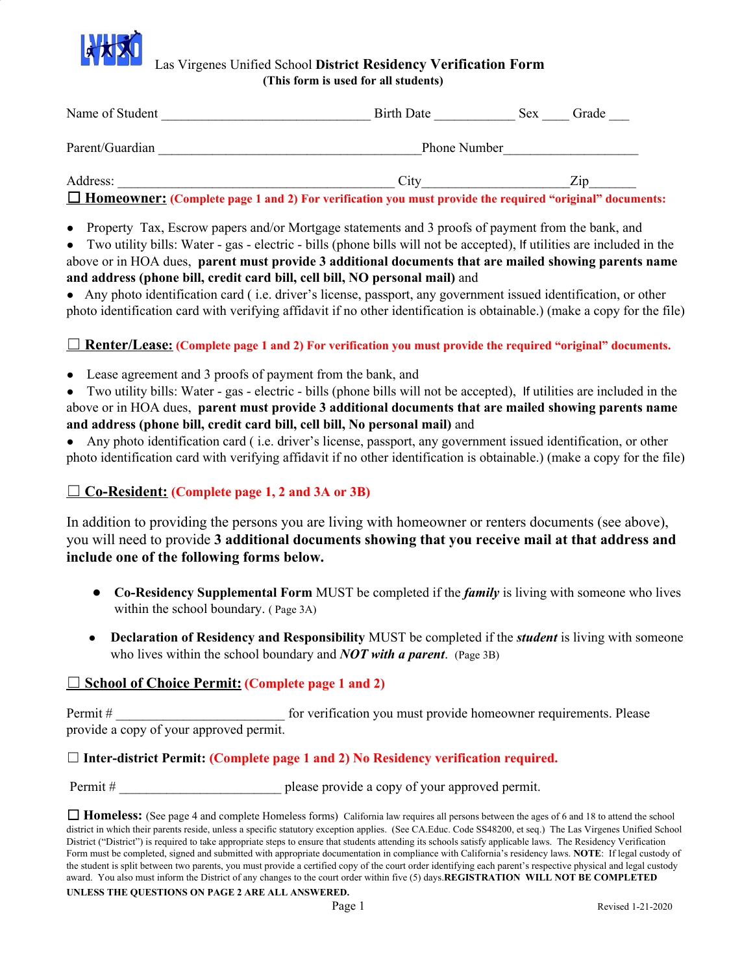

#### Las Virgenes Unified School **District Residency Verification Form (This form is used for all students)**

| Name of Student | Birth Date          | <b>Sex</b> | Grade |
|-----------------|---------------------|------------|-------|
| Parent/Guardian | <b>Phone Number</b> |            |       |
| Address:        | City                |            | Zip   |

☐ **Homeowner: (Complete page 1 and 2) For verification you must provide the required "original" documents:**

- Property Tax, Escrow papers and/or Mortgage statements and 3 proofs of payment from the bank, and
- Two utility bills: Water gas electric bills (phone bills will not be accepted), If utilities are included in the above or in HOA dues, **parent must provide 3 additional documents that are mailed showing parents name and address (phone bill, credit card bill, cell bill, NO personal mail)** and

● Any photo identification card ( i.e. driver's license, passport, any government issued identification, or other photo identification card with verifying affidavit if no other identification is obtainable.) (make a copy for the file)

☐**Renter/Lease: (Complete page 1 and 2) For verification you must provide the required "original" documents.**

• Lease agreement and 3 proofs of payment from the bank, and

• Two utility bills: Water - gas - electric - bills (phone bills will not be accepted), If utilities are included in the above or in HOA dues, **parent must provide 3 additional documents that are mailed showing parents name and address (phone bill, credit card bill, cell bill, No personal mail)** and

Any photo identification card (i.e. driver's license, passport, any government issued identification, or other photo identification card with verifying affidavit if no other identification is obtainable.) (make a copy for the file)

#### ☐**Co-Resident: (Complete page 1, 2 and 3A or 3B)**

In addition to providing the persons you are living with homeowner or renters documents (see above), you will need to provide **3 additional documents showing that you receive mail at that address and include one of the following forms below.**

- **Co-Residency Supplemental Form** MUST be completed if the *family* is living with someone who lives within the school boundary. ( Page 3A)
- **Declaration of Residency and Responsibility** MUST be completed if the *student* is living with someone who lives within the school boundary and *NOT with a parent*. (Page 3B)

#### ☐**School of Choice Permit: (Complete page 1 and 2)**

Permit # \_\_\_\_\_\_\_\_\_\_\_\_\_\_\_\_\_\_\_\_\_\_\_\_\_\_\_\_\_\_\_\_\_\_ for verification you must provide homeowner requirements. Please provide a copy of your approved permit.

☐ **Inter-district Permit: (Complete page 1 and 2) No Residency verification required.**

Permit # \_\_\_\_\_\_\_\_\_\_\_\_\_\_\_\_\_\_\_\_\_\_\_\_ please provide a copy of your approved permit.

**UNLESS THE QUESTIONS ON PAGE 2 ARE ALL ANSWERED.**

<sup>□</sup> **Homeless:** (See page 4 and complete Homeless forms) California law requires all persons between the ages of 6 and 18 to attend the school district in which their parents reside, unless a specific statutory exception applies. (See CA.Educ. Code SS48200, et seq.) The Las Virgenes Unified School District ("District") is required to take appropriate steps to ensure that students attending its schools satisfy applicable laws. The Residency Verification Form must be completed, signed and submitted with appropriate documentation in compliance with California's residency laws. **NOTE**: If legal custody of the student is split between two parents, you must provide a certified copy of the court order identifying each parent's respective physical and legal custody award. You also must inform the District of any changes to the court order within five (5) days.**REGISTRATION WILL NOT BE COMPLETED**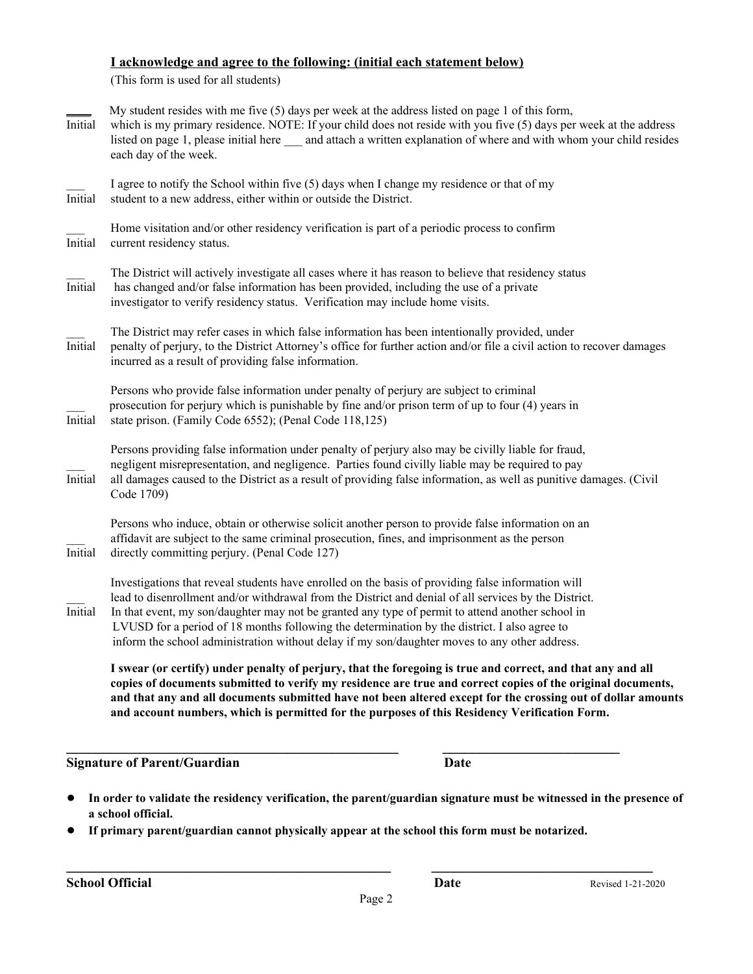### **I acknowledge and agree to the following: (initial each statement below)**

(This form is used for all students)

| Initial        | My student resides with me five $(5)$ days per week at the address listed on page 1 of this form,<br>which is my primary residence. NOTE: If your child does not reside with you five (5) days per week at the address<br>listed on page 1, please initial here _____ and attach a written explanation of where and with whom your child resides<br>each day of the week.                                                                                                                                        |
|----------------|------------------------------------------------------------------------------------------------------------------------------------------------------------------------------------------------------------------------------------------------------------------------------------------------------------------------------------------------------------------------------------------------------------------------------------------------------------------------------------------------------------------|
| Initial        | I agree to notify the School within five (5) days when I change my residence or that of my<br>student to a new address, either within or outside the District.                                                                                                                                                                                                                                                                                                                                                   |
| Initial        | Home visitation and/or other residency verification is part of a periodic process to confirm<br>current residency status.                                                                                                                                                                                                                                                                                                                                                                                        |
| <i>Initial</i> | The District will actively investigate all cases where it has reason to believe that residency status<br>has changed and/or false information has been provided, including the use of a private<br>investigator to verify residency status. Verification may include home visits.                                                                                                                                                                                                                                |
| Initial        | The District may refer cases in which false information has been intentionally provided, under<br>penalty of perjury, to the District Attorney's office for further action and/or file a civil action to recover damages<br>incurred as a result of providing false information.                                                                                                                                                                                                                                 |
| Initial        | Persons who provide false information under penalty of perjury are subject to criminal<br>prosecution for perjury which is punishable by fine and/or prison term of up to four (4) years in<br>state prison. (Family Code 6552); (Penal Code 118,125)                                                                                                                                                                                                                                                            |
| Initial        | Persons providing false information under penalty of perjury also may be civilly liable for fraud,<br>negligent misrepresentation, and negligence. Parties found civilly liable may be required to pay<br>all damages caused to the District as a result of providing false information, as well as punitive damages. (Civil<br>Code 1709)                                                                                                                                                                       |
| Initial        | Persons who induce, obtain or otherwise solicit another person to provide false information on an<br>affidavit are subject to the same criminal prosecution, fines, and imprisonment as the person<br>directly committing perjury. (Penal Code 127)                                                                                                                                                                                                                                                              |
| Initial        | Investigations that reveal students have enrolled on the basis of providing false information will<br>lead to disenrollment and/or withdrawal from the District and denial of all services by the District.<br>In that event, my son/daughter may not be granted any type of permit to attend another school in<br>LVUSD for a period of 18 months following the determination by the district. I also agree to<br>inform the school administration without delay if my son/daughter moves to any other address. |
|                | I swear (or certify) under penalty of perjury, that the foregoing is true and correct, and that any and all<br>copies of documents submitted to verify my residence are true and correct copies of the original documents,<br>and that any and all documents submitted have not been altered except for the crossing out of dollar amounts<br>and account numbers, which is permitted for the purposes of this Residency Verification Form.                                                                      |

**Signature of Parent/Guardian Date**

- In order to validate the residency verification, the parent/guardian signature must be witnessed in the presence of **a school official.**
- **If primary parent/guardian cannot physically appear at the school this form must be notarized.**

**\_\_\_\_\_\_\_\_\_\_\_\_\_\_\_\_\_\_\_\_\_\_\_\_\_\_\_\_\_\_\_\_\_\_\_\_\_\_\_\_\_\_\_\_\_ \_\_\_\_\_\_\_\_\_\_\_\_\_\_\_\_\_\_\_\_\_\_\_\_**

**\_\_\_\_\_\_\_\_\_\_\_\_\_\_\_\_\_\_\_\_\_\_\_\_\_\_\_\_\_\_\_\_\_\_\_\_\_\_\_\_\_\_\_\_ \_\_\_\_\_\_\_\_\_\_\_\_\_\_\_\_\_\_\_\_\_\_\_\_\_\_\_\_\_\_**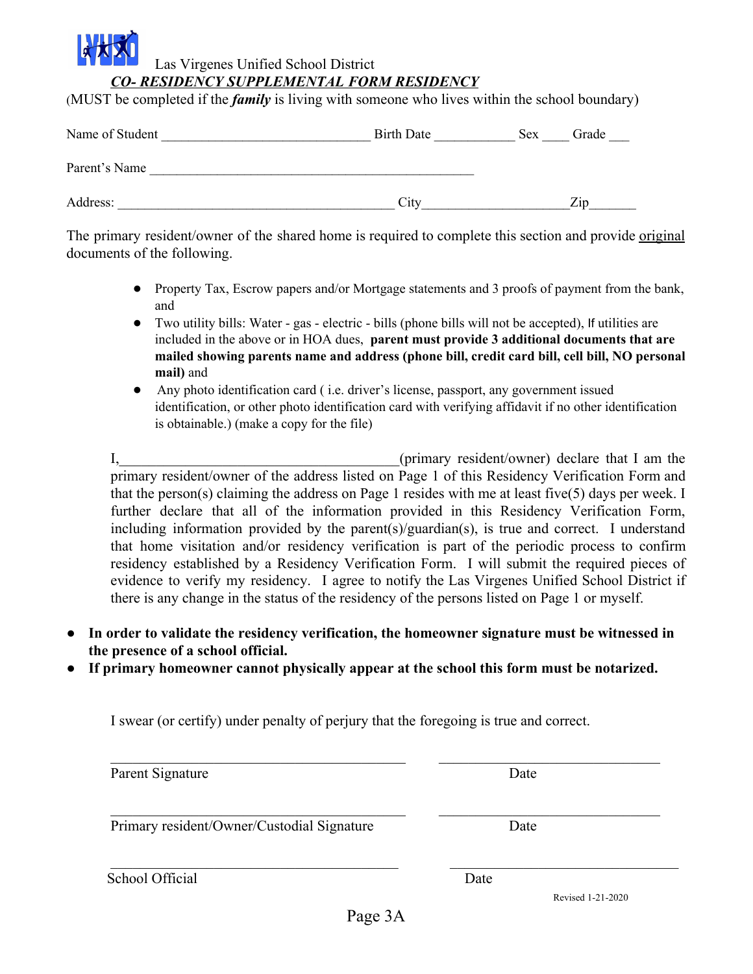## Las Virgenes Unified School District *CO- RESIDENCY SUPPLEMENTAL FORM RESIDENCY*

(MUST be completed if the *family* is living with someone who lives within the school boundary)

| Name of Student | <b>Birth Date</b> | <b>Sex</b> | Grade             |
|-----------------|-------------------|------------|-------------------|
| Parent's Name   |                   |            |                   |
| Address:        | City              |            | $\overline{Z}$ ip |

The primary resident/owner of the shared home is required to complete this section and provide <u>original</u> documents of the following.

- Property Tax, Escrow papers and/or Mortgage statements and 3 proofs of payment from the bank, and
- Two utility bills: Water gas electric bills (phone bills will not be accepted), If utilities are included in the above or in HOA dues, **parent must provide 3 additional documents that are mailed showing parents name and address (phone bill, credit card bill, cell bill, NO personal mail)** and
- Any photo identification card ( i.e. driver's license, passport, any government issued identification, or other photo identification card with verifying affidavit if no other identification is obtainable.) (make a copy for the file)

I, the contract of the contract of the contract of the contract of the contract of the contract of the contract of the contract of the contract of the contract of the contract of the contract of the contract of the contrac primary resident/owner of the address listed on Page 1 of this Residency Verification Form and that the person(s) claiming the address on Page 1 resides with me at least five(5) days per week. I further declare that all of the information provided in this Residency Verification Form, including information provided by the parent(s)/guardian(s), is true and correct. I understand that home visitation and/or residency verification is part of the periodic process to confirm residency established by a Residency Verification Form. I will submit the required pieces of evidence to verify my residency. I agree to notify the Las Virgenes Unified School District if there is any change in the status of the residency of the persons listed on Page 1 or myself.

- **In order to validate the residency verification, the homeowner signature must be witnessed in the presence of a school official.**
- If primary homeowner cannot physically appear at the school this form must be notarized.

I swear (or certify) under penalty of perjury that the foregoing is true and correct.

| Date |  |
|------|--|
| Date |  |
|      |  |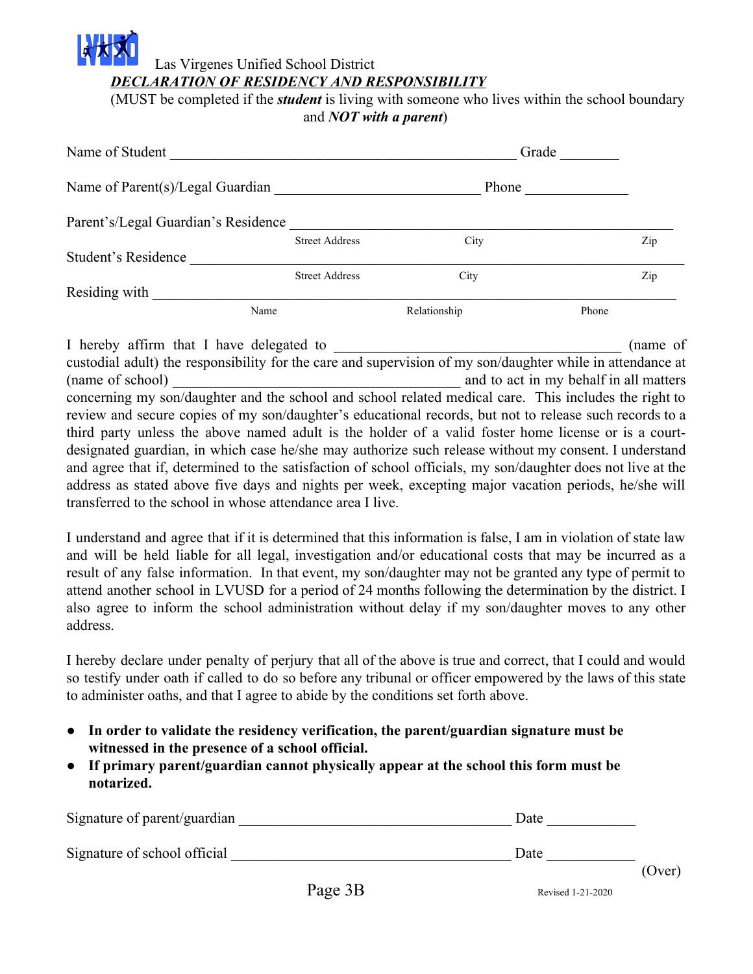# Las Virgenes Unified School District *DECLARATION OF RESIDENCY AND RESPONSIBILITY*

(MUST be completed if the *student* is living with someone who lives within the school boundary and *NOT with a parent*)

| Name of Student                     | Grade                 |              |       |
|-------------------------------------|-----------------------|--------------|-------|
| Name of Parent(s)/Legal Guardian    |                       | Phone        |       |
| Parent's/Legal Guardian's Residence |                       |              |       |
|                                     | <b>Street Address</b> | City         | Zip   |
| Student's Residence                 |                       |              |       |
|                                     | <b>Street Address</b> | City         | Zip   |
| Residing with                       |                       |              |       |
| Name                                |                       | Relationship | Phone |

I hereby affirm that I have delegated to  $\qquad \qquad$  (name of custodial adult) the responsibility for the care and supervision of my son/daughter while in attendance at (name of school) and to act in my behalf in all matters concerning my son/daughter and the school and school related medical care. This includes the right to review and secure copies of my son/daughter's educational records, but not to release such records to a third party unless the above named adult is the holder of a valid foster home license or is a courtdesignated guardian, in which case he/she may authorize such release without my consent. I understand and agree that if, determined to the satisfaction of school officials, my son/daughter does not live at the address as stated above five days and nights per week, excepting major vacation periods, he/she will transferred to the school in whose attendance area I live.

I understand and agree that if it is determined that this information is false, I am in violation of state law and will be held liable for all legal, investigation and/or educational costs that may be incurred as a result of any false information. In that event, my son/daughter may not be granted any type of permit to attend another school in LVUSD for a period of 24 months following the determination by the district. I also agree to inform the school administration without delay if my son/daughter moves to any other address.

I hereby declare under penalty of perjury that all of the above is true and correct, that I could and would so testify under oath if called to do so before any tribunal or officer empowered by the laws of this state to administer oaths, and that I agree to abide by the conditions set forth above.

- **In order to validate the residency verification, the parent/guardian signature must be witnessed in the presence of a school official.**
- **If primary parent/guardian cannot physically appear at the school this form must be notarized.**

| Signature of parent/guardian |         | Date              |        |
|------------------------------|---------|-------------------|--------|
| Signature of school official |         | Date              | (Over) |
|                              | Page 3B | Revised 1-21-2020 |        |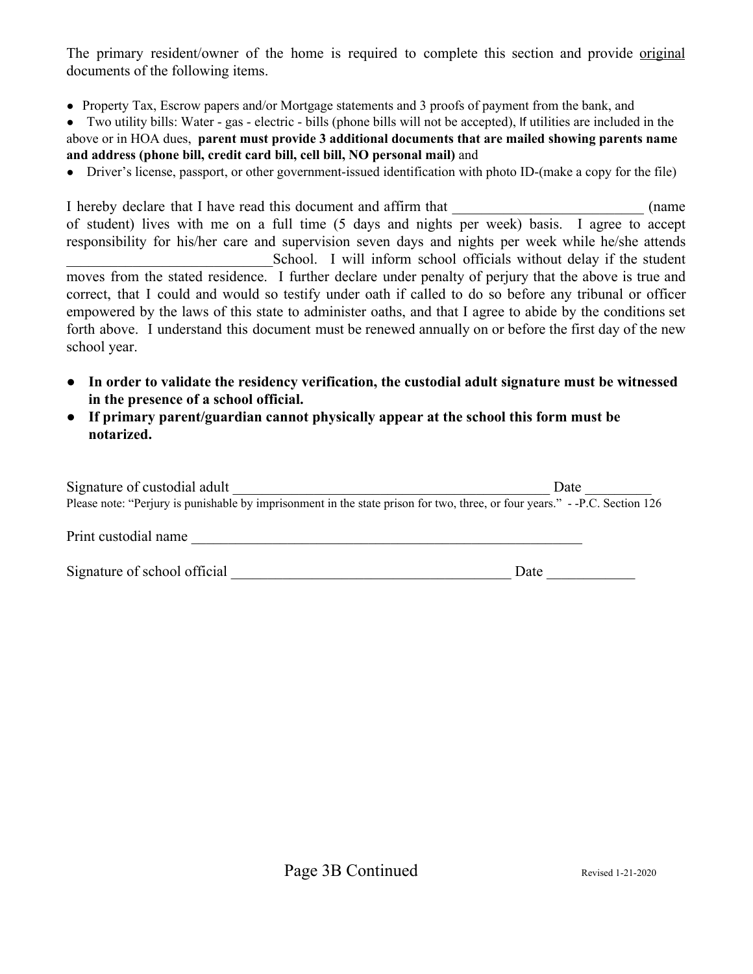The primary resident/owner of the home is required to complete this section and provide original documents of the following items.

- Property Tax, Escrow papers and/or Mortgage statements and 3 proofs of payment from the bank, and
- Two utility bills: Water gas electric bills (phone bills will not be accepted), If utilities are included in the above or in HOA dues, **parent must provide 3 additional documents that are mailed showing parents name and address (phone bill, credit card bill, cell bill, NO personal mail)** and
- Driver's license, passport, or other government-issued identification with photo ID-(make a copy for the file)

I hereby declare that I have read this document and affirm that  $\qquad \qquad$  (name of student) lives with me on a full time (5 days and nights per week) basis. I agree to accept responsibility for his/her care and supervision seven days and nights per week while he/she attends School. I will inform school officials without delay if the student moves from the stated residence. I further declare under penalty of perjury that the above is true and correct, that I could and would so testify under oath if called to do so before any tribunal or officer empowered by the laws of this state to administer oaths, and that I agree to abide by the conditions set forth above. I understand this document must be renewed annually on or before the first day of the new school year.

- **In order to validate the residency verification, the custodial adult signature must be witnessed in the presence of a school official.**
- **If primary parent/guardian cannot physically appear at the school this form must be notarized.**

| Signature of custodial adult<br>Please note: "Perjury is punishable by imprisonment in the state prison for two, three, or four years." --P.C. Section 126 | Date |
|------------------------------------------------------------------------------------------------------------------------------------------------------------|------|
| Print custodial name                                                                                                                                       |      |
| Signature of school official                                                                                                                               | Date |